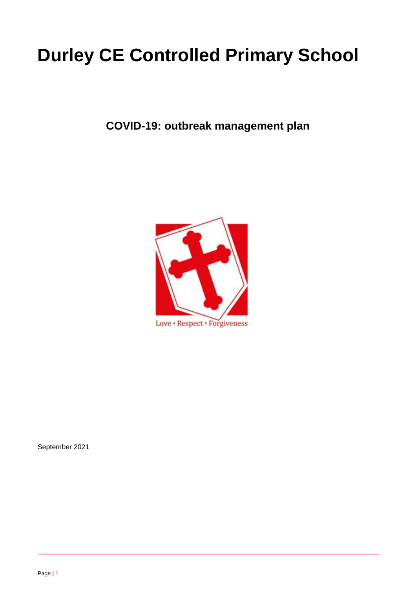# **Durley CE Controlled Primary School**

**COVID-19: outbreak management plan**



September 2021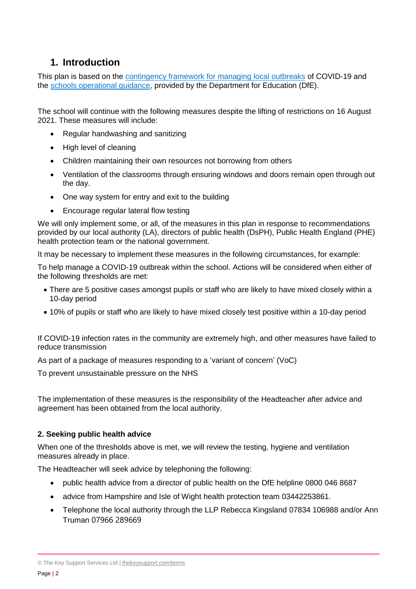# **1. Introduction**

This plan is based on the [contingency framework for managing local outbreaks](https://www.gov.uk/government/publications/coronavirus-covid-19-local-restrictions-in-education-and-childcare-settings) of COVID-19 and the [schools operational guidance,](https://www.gov.uk/government/publications/actions-for-schools-during-the-coronavirus-outbreak) provided by the Department for Education (DfE).

The school will continue with the following measures despite the lifting of restrictions on 16 August 2021. These measures will include:

- Regular handwashing and sanitizing
- High level of cleaning
- Children maintaining their own resources not borrowing from others
- Ventilation of the classrooms through ensuring windows and doors remain open through out the day.
- One way system for entry and exit to the building
- Encourage regular lateral flow testing

We will only implement some, or all, of the measures in this plan in response to recommendations provided by our local authority (LA), directors of public health (DsPH), Public Health England (PHE) health protection team or the national government.

It may be necessary to implement these measures in the following circumstances, for example:

To help manage a COVID-19 outbreak within the school. Actions will be considered when either of the following thresholds are met:

- There are 5 positive cases amongst pupils or staff who are likely to have mixed closely within a 10-day period
- 10% of pupils or staff who are likely to have mixed closely test positive within a 10-day period

If COVID-19 infection rates in the community are extremely high, and other measures have failed to reduce transmission

As part of a package of measures responding to a 'variant of concern' (VoC)

To prevent unsustainable pressure on the NHS

The implementation of these measures is the responsibility of the Headteacher after advice and agreement has been obtained from the local authority.

# **2. Seeking public health advice**

When one of the thresholds above is met, we will review the testing, hygiene and ventilation measures already in place.

The Headteacher will seek advice by telephoning the following:

- public health advice from a director of public health on the DfE helpline 0800 046 8687
- advice from Hampshire and Isle of Wight health protection team 03442253861.
- Telephone the local authority through the LLP Rebecca Kingsland 07834 106988 and/or Ann Truman 07966 289669

<sup>©</sup> The Key Support Services Ltd | [thekeysupport.com/terms](https://thekeysupport.com/terms-of-use)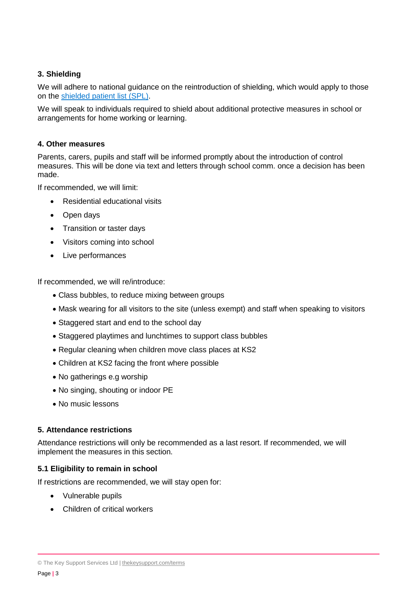# **3. Shielding**

We will adhere to national guidance on the reintroduction of shielding, which would apply to those on the shielded [patient list \(SPL\).](https://digital.nhs.uk/coronavirus/shielded-patient-list)

We will speak to individuals required to shield about additional protective measures in school or arrangements for home working or learning.

### **4. Other measures**

Parents, carers, pupils and staff will be informed promptly about the introduction of control measures. This will be done via text and letters through school comm. once a decision has been made.

If recommended, we will limit:

- Residential educational visits
- Open days
- Transition or taster days
- Visitors coming into school
- Live performances

If recommended, we will re/introduce:

- Class bubbles, to reduce mixing between groups
- Mask wearing for all visitors to the site (unless exempt) and staff when speaking to visitors
- Staggered start and end to the school day
- Staggered playtimes and lunchtimes to support class bubbles
- Regular cleaning when children move class places at KS2
- Children at KS2 facing the front where possible
- No gatherings e.g worship
- No singing, shouting or indoor PE
- No music lessons

#### **5. Attendance restrictions**

Attendance restrictions will only be recommended as a last resort. If recommended, we will implement the measures in this section.

# **5.1 Eligibility to remain in school**

If restrictions are recommended, we will stay open for:

- Vulnerable pupils
- Children of critical workers